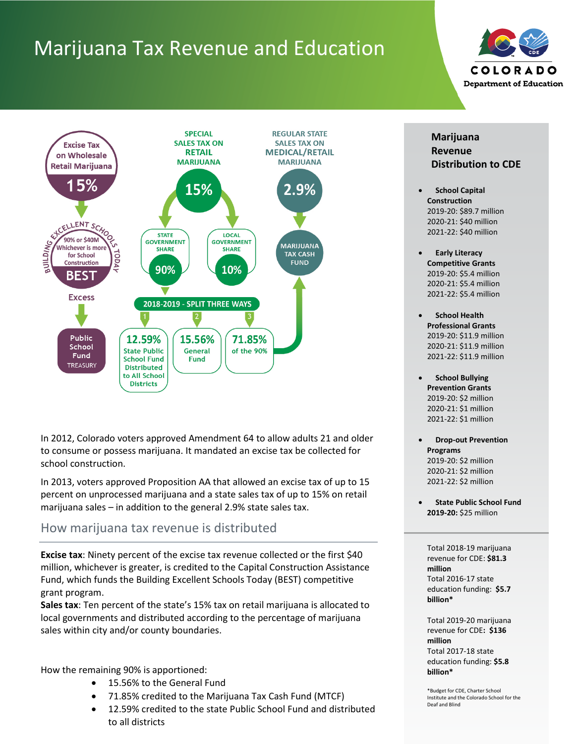# Marijuana Tax Revenue and Education





In 2012, Colorado voters approved Amendment 64 to allow adults 21 and older to consume or possess marijuana. It mandated an excise tax be collected for school construction.

In 2013, voters approved Proposition AA that allowed an excise tax of up to 15 percent on unprocessed marijuana and a state sales tax of up to 15% on retail marijuana sales – in addition to the general 2.9% state sales tax.

#### How marijuana tax revenue is distributed

**Excise tax**: Ninety percent of the excise tax revenue collected or the first \$40 million, whichever is greater, is credited to the Capital Construction Assistance Fund, which funds the Building Excellent Schools Today (BEST) competitive grant program.

**Sales tax**: Ten percent of the state's 15% tax on retail marijuana is allocated to local governments and distributed according to the percentage of marijuana sales within city and/or county boundaries.

How the remaining 90% is apportioned:

- 15.56% to the General Fund
- 71.85% credited to the Marijuana Tax Cash Fund (MTCF)
- 12.59% credited to the state Public School Fund and distributed to all districts



- **School Capital Construction** 2019-20: \$89.7 million 2020-21: \$40 million 2021-22: \$40 million
- **Early Literacy Competitive Grants** 2019-20: \$5.4 million 2020-21: \$5.4 million 2021-22: \$5.4 million
- **School Health Professional Grants** 2019-20: \$11.9 million 2020-21: \$11.9 million 2021-22: \$11.9 million
- **School Bullying Prevention Grants** 2019-20: \$2 million 2020-21: \$1 million 2021-22: \$1 million
- **Drop-out Prevention Programs**  2019-20: \$2 million 2020-21: \$2 million 2021-22: \$2 million
- **State Public School Fund 2019-20:** \$25 million

Total 2018-19 marijuana revenue for CDE: **\$81.3 million** Total 2016-17 state education funding: **\$5.7 billion\***

Total 2019-20 marijuana revenue for CDE**: \$136 million** Total 2017-18 state education funding: **\$5.8 billion\***

\*Budget for CDE, Charter School Institute and the Colorado School for the Deaf and Blind